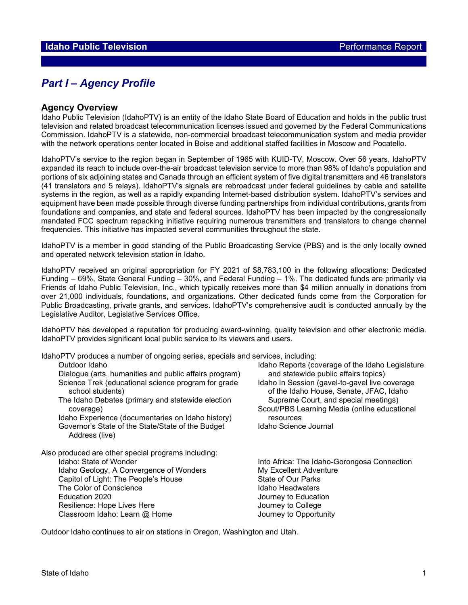# *Part I – Agency Profile*

#### **Agency Overview**

Idaho Public Television (IdahoPTV) is an entity of the Idaho State Board of Education and holds in the public trust television and related broadcast telecommunication licenses issued and governed by the Federal Communications Commission. IdahoPTV is a statewide, non-commercial broadcast telecommunication system and media provider with the network operations center located in Boise and additional staffed facilities in Moscow and Pocatello.

IdahoPTV's service to the region began in September of 1965 with KUID-TV, Moscow. Over 56 years, IdahoPTV expanded its reach to include over-the-air broadcast television service to more than 98% of Idaho's population and portions of six adjoining states and Canada through an efficient system of five digital transmitters and 46 translators (41 translators and 5 relays). IdahoPTV's signals are rebroadcast under federal guidelines by cable and satellite systems in the region, as well as a rapidly expanding Internet-based distribution system. IdahoPTV's services and equipment have been made possible through diverse funding partnerships from individual contributions, grants from foundations and companies, and state and federal sources. IdahoPTV has been impacted by the congressionally mandated FCC spectrum repacking initiative requiring numerous transmitters and translators to change channel frequencies. This initiative has impacted several communities throughout the state.

IdahoPTV is a member in good standing of the Public Broadcasting Service (PBS) and is the only locally owned and operated network television station in Idaho.

IdahoPTV received an original appropriation for FY 2021 of \$8,783,100 in the following allocations: Dedicated Funding – 69%, State General Funding – 30%, and Federal Funding – 1%. The dedicated funds are primarily via Friends of Idaho Public Television, Inc., which typically receives more than \$4 million annually in donations from over 21,000 individuals, foundations, and organizations. Other dedicated funds come from the Corporation for Public Broadcasting, private grants, and services. IdahoPTV's comprehensive audit is conducted annually by the Legislative Auditor, Legislative Services Office.

IdahoPTV has developed a reputation for producing award-winning, quality television and other electronic media. IdahoPTV provides significant local public service to its viewers and users.

| IdahoPTV produces a number of ongoing series, specials and services, including: |  |
|---------------------------------------------------------------------------------|--|
|---------------------------------------------------------------------------------|--|

| Outdoor Idaho                                                                   | Idaho Report                 |
|---------------------------------------------------------------------------------|------------------------------|
| Dialogue (arts, humanities and public affairs program)                          | and statey                   |
| Science Trek (educational science program for grade<br>school students)         | Idaho In Ses<br>of the Idal  |
| The Idaho Debates (primary and statewide election<br>coverage)                  | Supreme<br>Scout/PBS L       |
| Idaho Experience (documentaries on Idaho history)                               | resources                    |
| Governor's State of the State/State of the Budget<br>Address (live)             | Idaho Scienc                 |
| Also produced are other special programs including:                             |                              |
| Idaho: State of Wonder                                                          | Into Africa: T               |
| Idaho Geology, A Convergence of Wonders<br>Capitol of Light: The People's House | My Excellent<br>State of Our |
|                                                                                 |                              |

The Color of Conscience Education 2020 Journey to Education Resilience: Hope Lives Here **Internal and Separate Section** Journey to College Classroom Idaho: Learn @ Home Journey to Opportunity

aho Reports (coverage of the Idaho Legislature and statewide public affairs topics) aho In Session (gavel-to-gavel live coverage of the Idaho House, Senate, JFAC, Idaho Supreme Court, and special meetings) out/PBS Learning Media (online educational

aho Science Journal

o Africa: The Idaho-Gorongosa Connection Excellent Adventure State of Our Parks<br>Idaho Headwaters

Outdoor Idaho continues to air on stations in Oregon, Washington and Utah.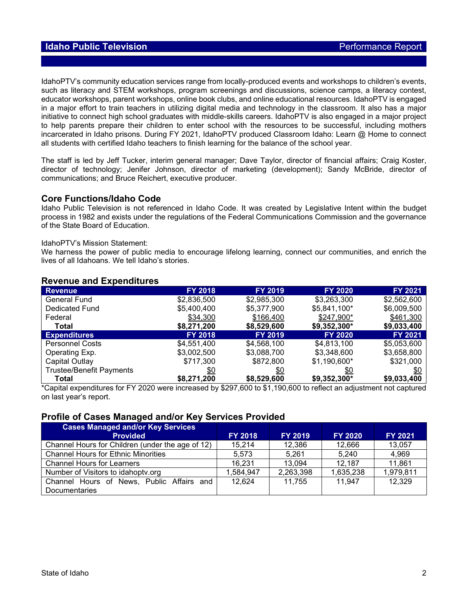IdahoPTV's community education services range from locally-produced events and workshops to children's events, such as literacy and STEM workshops, program screenings and discussions, science camps, a literacy contest, educator workshops, parent workshops, online book clubs, and online educational resources. IdahoPTV is engaged in a major effort to train teachers in utilizing digital media and technology in the classroom. It also has a major initiative to connect high school graduates with middle-skills careers. IdahoPTV is also engaged in a major project to help parents prepare their children to enter school with the resources to be successful, including mothers incarcerated in Idaho prisons. During FY 2021, IdahoPTV produced Classroom Idaho: Learn @ Home to connect all students with certified Idaho teachers to finish learning for the balance of the school year.

The staff is led by Jeff Tucker, interim general manager; Dave Taylor, director of financial affairs; Craig Koster, director of technology; Jenifer Johnson, director of marketing (development); Sandy McBride, director of communications; and Bruce Reichert, executive producer.

### **Core Functions/Idaho Code**

Idaho Public Television is not referenced in Idaho Code. It was created by Legislative Intent within the budget process in 1982 and exists under the regulations of the Federal Communications Commission and the governance of the State Board of Education.

#### IdahoPTV's Mission Statement:

We harness the power of public media to encourage lifelong learning, connect our communities, and enrich the lives of all Idahoans. We tell Idaho's stories.

| <b>Revenue</b>                  | <b>FY 2018</b> | <b>FY 2019</b> | <b>FY 2020</b> | FY 2021     |
|---------------------------------|----------------|----------------|----------------|-------------|
|                                 |                |                |                |             |
| <b>General Fund</b>             | \$2,836,500    | \$2,985,300    | \$3,263,300    | \$2,562,600 |
| Dedicated Fund                  | \$5,400,400    | \$5,377,900    | \$5,841,100*   | \$6,009,500 |
| Federal                         | \$34,300       | \$166,400      | \$247,900*     | \$461,300   |
| Total                           | \$8,271,200    | \$8,529,600    | \$9,352,300*   | \$9,033,400 |
| <b>Expenditures</b>             | <b>FY 2018</b> | <b>FY 2019</b> | <b>FY 2020</b> | FY 2021     |
| <b>Personnel Costs</b>          | \$4,551,400    | \$4,568,100    | \$4,813,100    | \$5,053,600 |
| Operating Exp.                  | \$3,002,500    | \$3,088,700    | \$3,348,600    | \$3,658,800 |
| Capital Outlay                  | \$717,300      | \$872,800      | $$1,190,600*$  | \$321,000   |
| <b>Trustee/Benefit Payments</b> | \$0            | <u>\$0</u>     | \$0            | \$0         |
| Total                           | \$8,271,200    | \$8,529,600    | \$9,352,300*   | \$9,033,400 |

### **Revenue and Expenditures**

\*Capital expenditures for FY 2020 were increased by \$297,600 to \$1,190,600 to reflect an adjustment not captured on last year's report.

#### **Profile of Cases Managed and/or Key Services Provided**

| <b>Cases Managed and/or Key Services</b>         |                |                |                |                |
|--------------------------------------------------|----------------|----------------|----------------|----------------|
| <b>Provided</b>                                  | <b>FY 2018</b> | <b>FY 2019</b> | <b>FY 2020</b> | <b>FY 2021</b> |
| Channel Hours for Children (under the age of 12) | 15,214         | 12,386         | 12,666         | 13,057         |
| <b>Channel Hours for Ethnic Minorities</b>       | 5.573          | 5.261          | 5.240          | 4,969          |
| <b>Channel Hours for Learners</b>                | 16,231         | 13,094         | 12,187         | 11,861         |
| Number of Visitors to idahopty.org               | 1,584,947      | 2,263,398      | 1,635,238      | 1,979,811      |
| Channel Hours of News, Public Affairs and        | 12.624         | 11,755         | 11.947         | 12,329         |
| Documentaries                                    |                |                |                |                |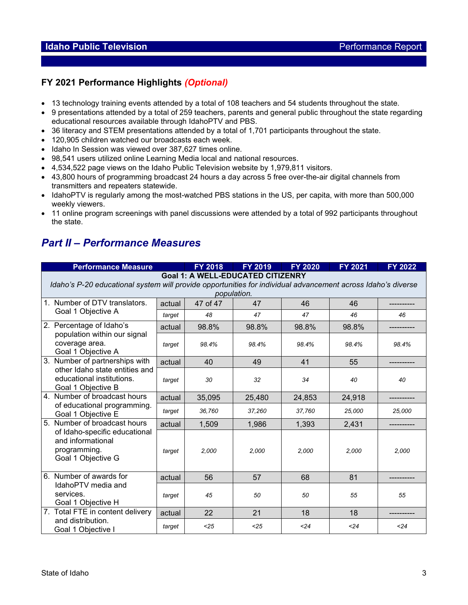# **FY 2021 Performance Highlights** *(Optional)*

- 13 technology training events attended by a total of 108 teachers and 54 students throughout the state.
- 9 presentations attended by a total of 259 teachers, parents and general public throughout the state regarding educational resources available through IdahoPTV and PBS.
- 36 literacy and STEM presentations attended by a total of 1,701 participants throughout the state.
- 120,905 children watched our broadcasts each week.
- Idaho In Session was viewed over 387,627 times online.
- 98,541 users utilized online Learning Media local and national resources.
- 4,534,522 page views on the Idaho Public Television website by 1,979,811 visitors.
- 43,800 hours of programming broadcast 24 hours a day across 5 free over-the-air digital channels from transmitters and repeaters statewide.
- IdahoPTV is regularly among the most-watched PBS stations in the US, per capita, with more than 500,000 weekly viewers.
- 11 online program screenings with panel discussions were attended by a total of 992 participants throughout the state.

# *Part II – Performance Measures*

| <b>Performance Measure</b>                                                                                                                                              |        | <b>FY 2018</b> | <b>FY 2019</b> | <b>FY 2020</b> | <b>FY 2021</b> | <b>FY 2022</b> |  |
|-------------------------------------------------------------------------------------------------------------------------------------------------------------------------|--------|----------------|----------------|----------------|----------------|----------------|--|
| <b>Goal 1: A WELL-EDUCATED CITIZENRY</b><br>Idaho's P-20 educational system will provide opportunities for individual advancement across Idaho's diverse<br>population. |        |                |                |                |                |                |  |
| 1. Number of DTV translators.                                                                                                                                           | actual | 47 of 47       | 47             | 46             | 46             |                |  |
| Goal 1 Objective A                                                                                                                                                      | target | 48             | 47             | 47             | 46             | 46             |  |
| 2. Percentage of Idaho's                                                                                                                                                | actual | 98.8%          | 98.8%          | 98.8%          | 98.8%          |                |  |
| population within our signal<br>coverage area.<br>Goal 1 Objective A                                                                                                    | target | 98.4%          | 98.4%          | 98.4%          | 98.4%          | 98.4%          |  |
| Number of partnerships with<br>3.                                                                                                                                       | actual | 40             | 49             | 41             | 55             |                |  |
| other Idaho state entities and<br>educational institutions.<br>Goal 1 Objective B                                                                                       | target | 30             | 32             | 34             | 40             | 40             |  |
| 4. Number of broadcast hours                                                                                                                                            | actual | 35,095         | 25,480         | 24,853         | 24,918         |                |  |
| of educational programming.<br>Goal 1 Objective E                                                                                                                       | target | 36,760         | 37,260         | 37,760         | 25,000         | 25,000         |  |
| Number of broadcast hours<br>5.                                                                                                                                         | actual | 1,509          | 1,986          | 1.393          | 2,431          |                |  |
| of Idaho-specific educational<br>and informational<br>programming.<br>Goal 1 Objective G                                                                                | target | 2,000          | 2,000          | 2,000          | 2,000          | 2,000          |  |
| 6. Number of awards for                                                                                                                                                 | actual | 56             | 57             | 68             | 81             |                |  |
| IdahoPTV media and<br>services.<br>Goal 1 Objective H                                                                                                                   | target | 45             | 50             | 50             | 55             | 55             |  |
| 7. Total FTE in content delivery                                                                                                                                        | actual | 22             | 21             | 18             | 18             |                |  |
| and distribution.<br>Goal 1 Objective I                                                                                                                                 | target | $25$           | < 25           | < 24           | < 24           | < 24           |  |